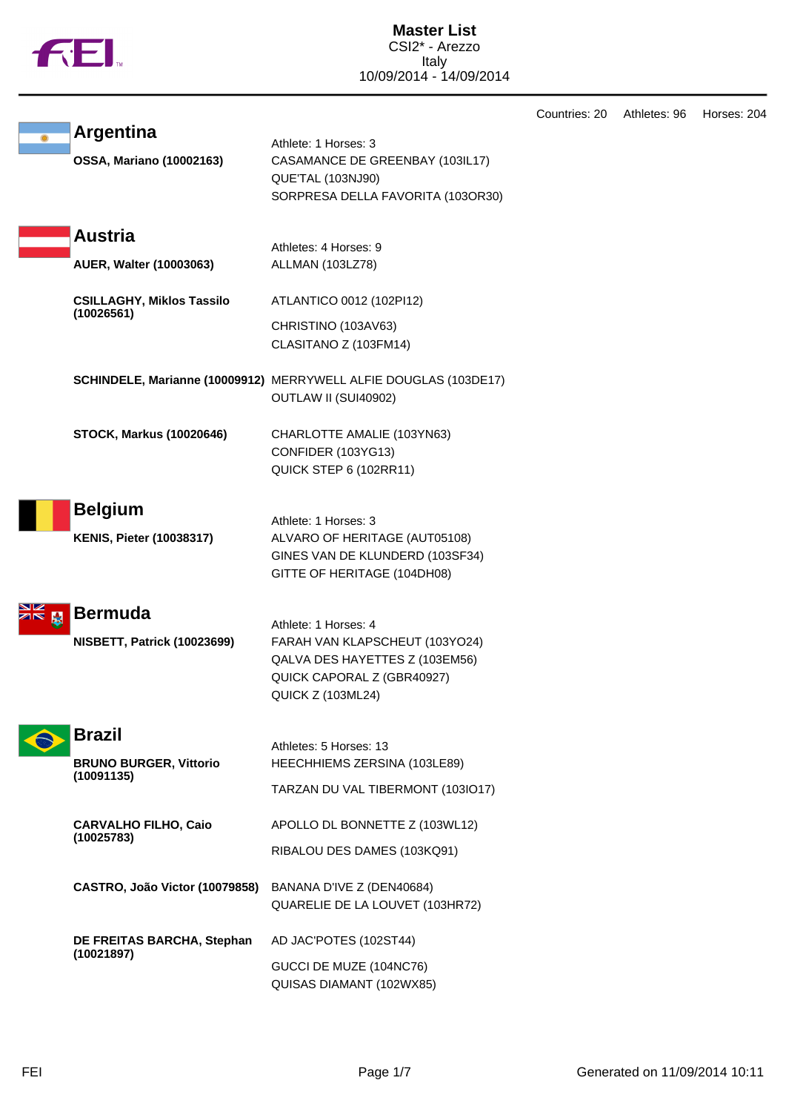|             | <b>12.</b>                                                   | <b>Master List</b><br>CSI2* - Arezzo<br>Italy<br>10/09/2014 - 14/09/2014                                                                           |               |              |             |
|-------------|--------------------------------------------------------------|----------------------------------------------------------------------------------------------------------------------------------------------------|---------------|--------------|-------------|
|             | <b>Argentina</b><br><b>OSSA, Mariano (10002163)</b>          | Athlete: 1 Horses: 3<br>CASAMANCE DE GREENBAY (103IL17)<br>QUE'TAL (103NJ90)<br>SORPRESA DELLA FAVORITA (103OR30)                                  | Countries: 20 | Athletes: 96 | Horses: 204 |
|             | <b>Austria</b><br>AUER, Walter (10003063)                    | Athletes: 4 Horses: 9<br>ALLMAN (103LZ78)                                                                                                          |               |              |             |
|             | <b>CSILLAGHY, Miklos Tassilo</b><br>(10026561)               | ATLANTICO 0012 (102PI12)<br>CHRISTINO (103AV63)<br>CLASITANO Z (103FM14)                                                                           |               |              |             |
|             |                                                              | SCHINDELE, Marianne (10009912) MERRYWELL ALFIE DOUGLAS (103DE17)<br>OUTLAW II (SUI40902)                                                           |               |              |             |
|             | <b>STOCK, Markus (10020646)</b>                              | CHARLOTTE AMALIE (103YN63)<br>CONFIDER (103YG13)<br>QUICK STEP 6 (102RR11)                                                                         |               |              |             |
|             | <b>Belgium</b><br><b>KENIS, Pieter (10038317)</b>            | Athlete: 1 Horses: 3<br>ALVARO OF HERITAGE (AUT05108)<br>GINES VAN DE KLUNDERD (103SF34)<br>GITTE OF HERITAGE (104DH08)                            |               |              |             |
| NZ.<br>ZR X | Bermuda<br><b>NISBETT, Patrick (10023699)</b>                | Athlete: 1 Horses: 4<br>FARAH VAN KLAPSCHEUT (103YO24)<br>QALVA DES HAYETTES Z (103EM56)<br>QUICK CAPORAL Z (GBR40927)<br><b>QUICK Z (103ML24)</b> |               |              |             |
|             | <b>Brazil</b><br><b>BRUNO BURGER, Vittorio</b><br>(10091135) | Athletes: 5 Horses: 13<br>HEECHHIEMS ZERSINA (103LE89)<br>TARZAN DU VAL TIBERMONT (103IO17)                                                        |               |              |             |
|             | <b>CARVALHO FILHO, Caio</b><br>(10025783)                    | APOLLO DL BONNETTE Z (103WL12)<br>RIBALOU DES DAMES (103KQ91)                                                                                      |               |              |             |
|             | CASTRO, João Victor (10079858)                               | BANANA D'IVE Z (DEN40684)<br>QUARELIE DE LA LOUVET (103HR72)                                                                                       |               |              |             |
|             | DE FREITAS BARCHA, Stephan<br>(10021897)                     | AD JAC'POTES (102ST44)<br>GUCCI DE MUZE (104NC76)<br>QUISAS DIAMANT (102WX85)                                                                      |               |              |             |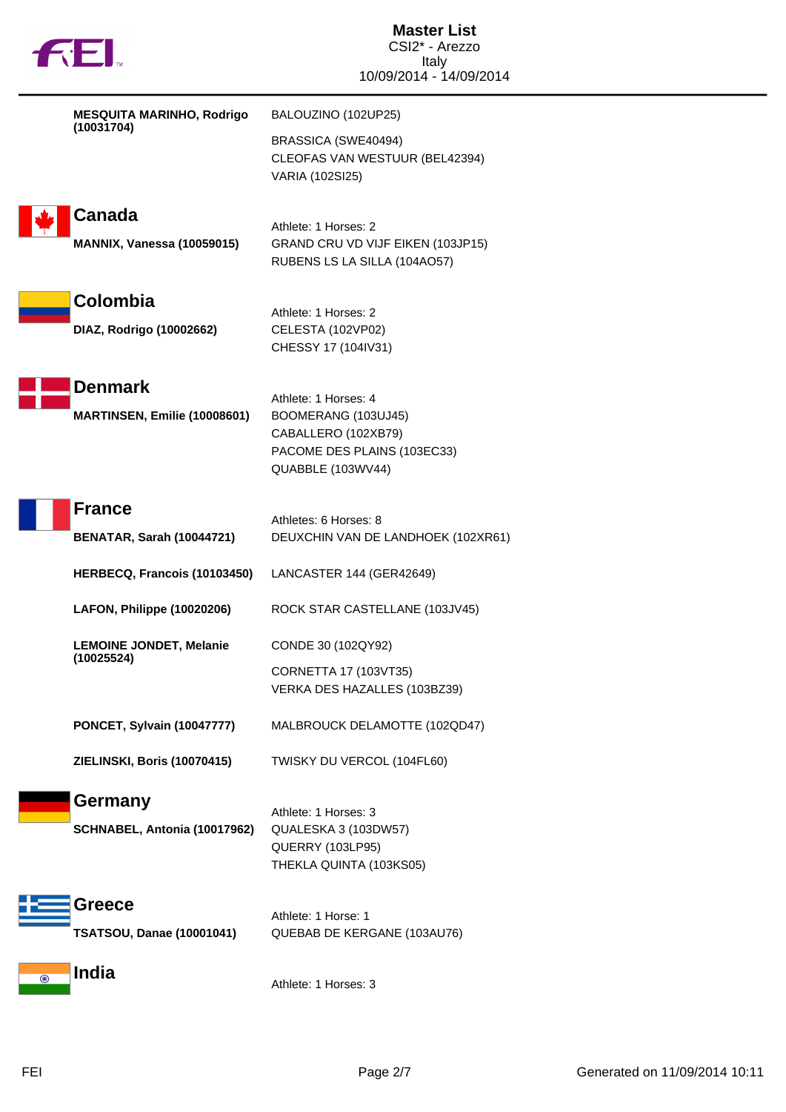|                                                    | <b>Master List</b><br>CSI2* - Arezzo                                                                                   |  |
|----------------------------------------------------|------------------------------------------------------------------------------------------------------------------------|--|
| <b>THEI</b>                                        | Italv<br>10/09/2014 - 14/09/2014                                                                                       |  |
| <b>MESQUITA MARINHO, Rodrigo</b>                   | BALOUZINO (102UP25)                                                                                                    |  |
| (10031704)                                         | BRASSICA (SWE40494)<br>CLEOFAS VAN WESTUUR (BEL42394)<br>VARIA (102SI25)                                               |  |
| <b>Canada</b><br><b>MANNIX, Vanessa (10059015)</b> | Athlete: 1 Horses: 2<br>GRAND CRU VD VIJF EIKEN (103JP15)<br>RUBENS LS LA SILLA (104AO57)                              |  |
| Colombia<br>DIAZ, Rodrigo (10002662)               | Athlete: 1 Horses: 2<br>CELESTA (102VP02)<br>CHESSY 17 (104IV31)                                                       |  |
| <b>Denmark</b><br>MARTINSEN, Emilie (10008601)     | Athlete: 1 Horses: 4<br>BOOMERANG (103UJ45)<br>CABALLERO (102XB79)<br>PACOME DES PLAINS (103EC33)<br>QUABBLE (103WV44) |  |
| <b>France</b>                                      | Athletes: 6 Horses: 8                                                                                                  |  |
| <b>BENATAR, Sarah (10044721)</b>                   | DEUXCHIN VAN DE LANDHOEK (102XR61)                                                                                     |  |
| HERBECQ, Francois (10103450)                       | LANCASTER 144 (GER42649)                                                                                               |  |
| LAFON, Philippe (10020206)                         | ROCK STAR CASTELLANE (103JV45)                                                                                         |  |
| <b>LEMOINE JONDET, Melanie</b><br>(10025524)       | CONDE 30 (102QY92)                                                                                                     |  |
|                                                    | CORNETTA 17 (103VT35)<br>VERKA DES HAZALLES (103BZ39)                                                                  |  |
| <b>PONCET, Sylvain (10047777)</b>                  | MALBROUCK DELAMOTTE (102QD47)                                                                                          |  |
| ZIELINSKI, Boris (10070415)                        | TWISKY DU VERCOL (104FL60)                                                                                             |  |
| <b>Germany</b><br>SCHNABEL, Antonia (10017962)     | Athlete: 1 Horses: 3<br>QUALESKA 3 (103DW57)<br><b>QUERRY (103LP95)</b><br>THEKLA QUINTA (103KS05)                     |  |
| <b>Greece</b><br><b>TSATSOU, Danae (10001041)</b>  | Athlete: 1 Horse: 1<br>QUEBAB DE KERGANE (103AU76)                                                                     |  |
| <b>India</b>                                       | Athlete: 1 Horses: 3                                                                                                   |  |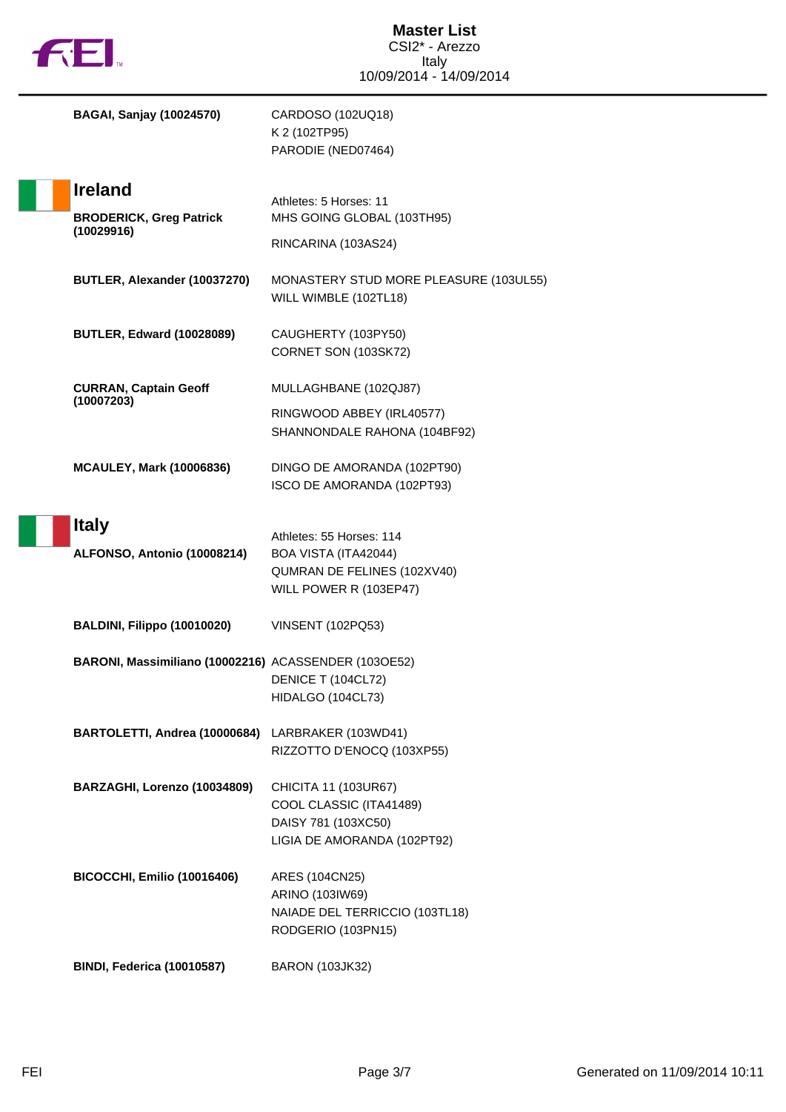| <b>FEI</b>   |                                                      | <b>Master List</b><br>CSI2* - Arezzo<br><b>Italy</b>            |
|--------------|------------------------------------------------------|-----------------------------------------------------------------|
|              |                                                      | 10/09/2014 - 14/09/2014                                         |
|              | <b>BAGAI, Sanjay (10024570)</b>                      | CARDOSO (102UQ18)<br>K 2 (102TP95)<br>PARODIE (NED07464)        |
|              | <b>Ireland</b>                                       | Athletes: 5 Horses: 11                                          |
|              | <b>BRODERICK, Greg Patrick</b>                       | MHS GOING GLOBAL (103TH95)                                      |
|              | (10029916)                                           | RINCARINA (103AS24)                                             |
|              | BUTLER, Alexander (10037270)                         | MONASTERY STUD MORE PLEASURE (103UL55)<br>WILL WIMBLE (102TL18) |
|              | <b>BUTLER, Edward (10028089)</b>                     | CAUGHERTY (103PY50)<br>CORNET SON (103SK72)                     |
|              | <b>CURRAN, Captain Geoff</b><br>(10007203)           | MULLAGHBANE (102QJ87)                                           |
|              |                                                      | RINGWOOD ABBEY (IRL40577)<br>SHANNONDALE RAHONA (104BF92)       |
|              |                                                      |                                                                 |
|              | <b>MCAULEY, Mark (10006836)</b>                      | DINGO DE AMORANDA (102PT90)<br>ISCO DE AMORANDA (102PT93)       |
|              |                                                      |                                                                 |
| <b>Italy</b> |                                                      | Athletes: 55 Horses: 114                                        |
|              | ALFONSO, Antonio (10008214)                          | BOA VISTA (ITA42044)<br>QUMRAN DE FELINES (102XV40)             |
|              |                                                      | WILL POWER R (103EP47)                                          |
|              | BALDINI, Filippo (10010020)                          | <b>VINSENT (102PQ53)</b>                                        |
|              | BARONI, Massimiliano (10002216) ACASSENDER (103OE52) |                                                                 |
|              |                                                      | DENICE T (104CL72)<br>HIDALGO (104CL73)                         |
|              | BARTOLETTI, Andrea (10000684)                        |                                                                 |
|              |                                                      | LARBRAKER (103WD41)<br>RIZZOTTO D'ENOCQ (103XP55)               |
|              | BARZAGHI, Lorenzo (10034809)                         | CHICITA 11 (103UR67)                                            |
|              |                                                      | COOL CLASSIC (ITA41489)                                         |
|              |                                                      | DAISY 781 (103XC50)<br>LIGIA DE AMORANDA (102PT92)              |
|              | <b>BICOCCHI, Emilio (10016406)</b>                   | ARES (104CN25)                                                  |
|              |                                                      | ARINO (103IW69)                                                 |
|              |                                                      | NAIADE DEL TERRICCIO (103TL18)<br>RODGERIO (103PN15)            |
|              | <b>BINDI, Federica (10010587)</b>                    | <b>BARON (103JK32)</b>                                          |

 $\blacksquare$ 

 $\overline{\phantom{a}}$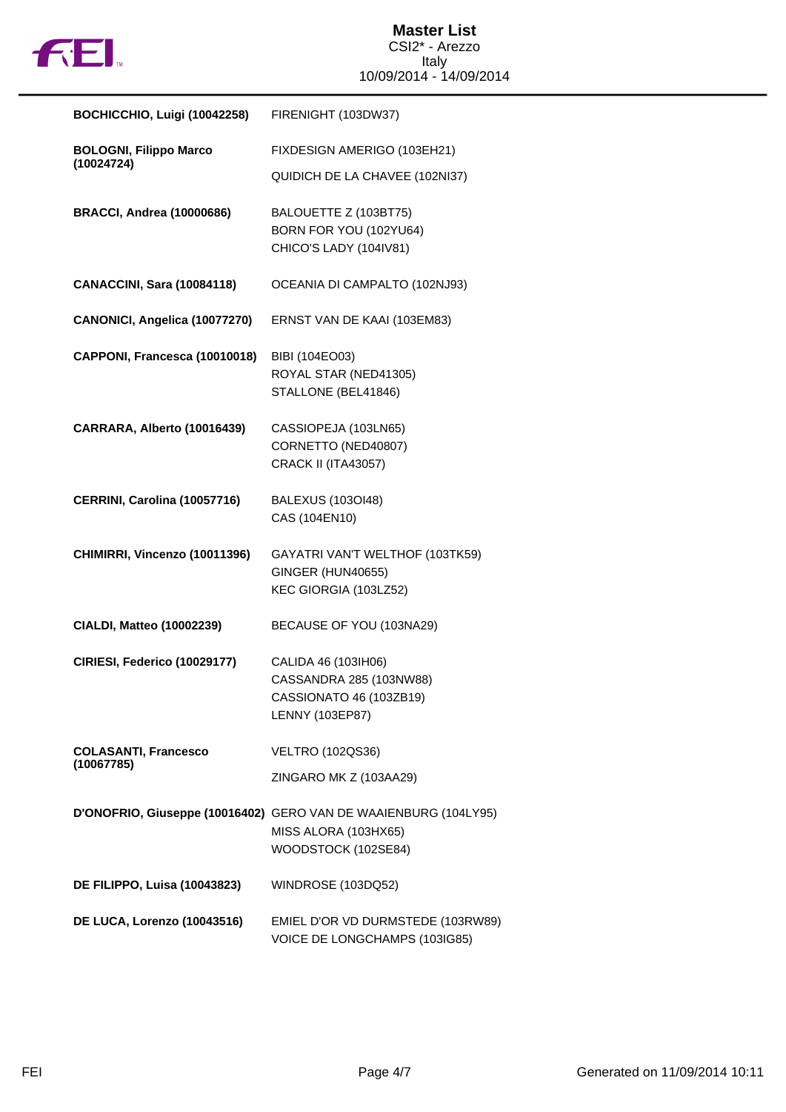

| BOCHICCHIO, Luigi (10042258)      | FIRENIGHT (103DW37)                                             |
|-----------------------------------|-----------------------------------------------------------------|
| <b>BOLOGNI, Filippo Marco</b>     | FIXDESIGN AMERIGO (103EH21)                                     |
| (10024724)                        | QUIDICH DE LA CHAVEE (102NI37)                                  |
| <b>BRACCI, Andrea (10000686)</b>  | BALOUETTE Z (103BT75)                                           |
|                                   | BORN FOR YOU (102YU64)                                          |
|                                   | CHICO'S LADY (104IV81)                                          |
| <b>CANACCINI, Sara (10084118)</b> | OCEANIA DI CAMPALTO (102NJ93)                                   |
| CANONICI, Angelica (10077270)     | ERNST VAN DE KAAI (103EM83)                                     |
|                                   |                                                                 |
| CAPPONI, Francesca (10010018)     | BIBI (104EO03)                                                  |
|                                   | ROYAL STAR (NED41305)<br>STALLONE (BEL41846)                    |
|                                   |                                                                 |
| CARRARA, Alberto (10016439)       | CASSIOPEJA (103LN65)                                            |
|                                   | CORNETTO (NED40807)                                             |
|                                   | <b>CRACK II (ITA43057)</b>                                      |
| CERRINI, Carolina (10057716)      | <b>BALEXUS (103OI48)</b>                                        |
|                                   | CAS (104EN10)                                                   |
| CHIMIRRI, Vincenzo (10011396)     | GAYATRI VAN'T WELTHOF (103TK59)                                 |
|                                   | <b>GINGER (HUN40655)</b>                                        |
|                                   | KEC GIORGIA (103LZ52)                                           |
|                                   |                                                                 |
| <b>CIALDI, Matteo (10002239)</b>  | BECAUSE OF YOU (103NA29)                                        |
| CIRIESI, Federico (10029177)      | CALIDA 46 (103IH06)                                             |
|                                   | CASSANDRA 285 (103NW88)                                         |
|                                   | CASSIONATO 46 (103ZB19)                                         |
|                                   | LENNY (103EP87)                                                 |
| <b>COLASANTI, Francesco</b>       | <b>VELTRO (102QS36)</b>                                         |
| (10067785)                        | ZINGARO MK Z (103AA29)                                          |
|                                   | D'ONOFRIO, Giuseppe (10016402) GERO VAN DE WAAIENBURG (104LY95) |
|                                   | MISS ALORA (103HX65)                                            |
|                                   | WOODSTOCK (102SE84)                                             |
| DE FILIPPO, Luisa (10043823)      | WINDROSE (103DQ52)                                              |
|                                   |                                                                 |
| DE LUCA, Lorenzo (10043516)       | EMIEL D'OR VD DURMSTEDE (103RW89)                               |
|                                   | VOICE DE LONGCHAMPS (103IG85)                                   |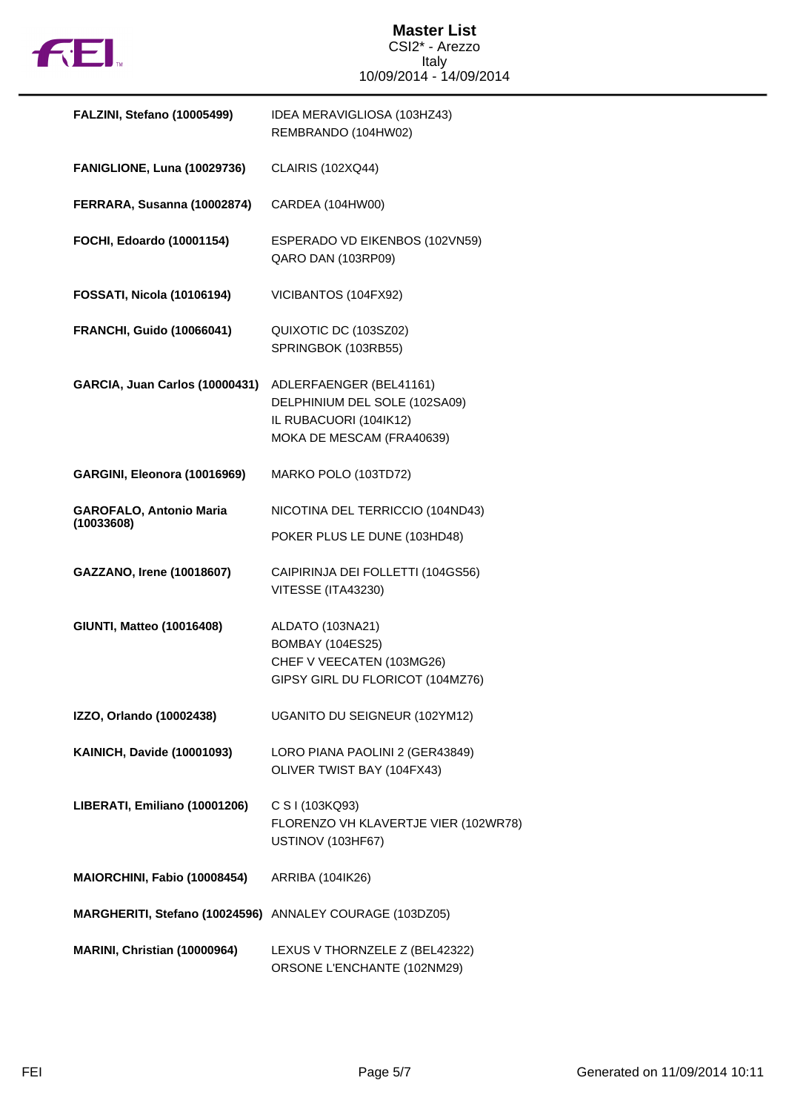

## **Master List** CSI2\* - Arezzo Italy 10/09/2014 - 14/09/2014

| FALZINI, Stefano (10005499)                              | IDEA MERAVIGLIOSA (103HZ43)<br>REMBRANDO (104HW02)                                                              |
|----------------------------------------------------------|-----------------------------------------------------------------------------------------------------------------|
| FANIGLIONE, Luna (10029736)                              | <b>CLAIRIS (102XQ44)</b>                                                                                        |
| FERRARA, Susanna (10002874)                              | CARDEA (104HW00)                                                                                                |
| FOCHI, Edoardo (10001154)                                | ESPERADO VD EIKENBOS (102VN59)<br>QARO DAN (103RP09)                                                            |
| <b>FOSSATI, Nicola (10106194)</b>                        | VICIBANTOS (104FX92)                                                                                            |
| <b>FRANCHI, Guido (10066041)</b>                         | QUIXOTIC DC (103SZ02)<br>SPRINGBOK (103RB55)                                                                    |
| GARCIA, Juan Carlos (10000431)                           | ADLERFAENGER (BEL41161)<br>DELPHINIUM DEL SOLE (102SA09)<br>IL RUBACUORI (104IK12)<br>MOKA DE MESCAM (FRA40639) |
| GARGINI, Eleonora (10016969)                             | MARKO POLO (103TD72)                                                                                            |
| <b>GAROFALO, Antonio Maria</b><br>(10033608)             | NICOTINA DEL TERRICCIO (104ND43)<br>POKER PLUS LE DUNE (103HD48)                                                |
| GAZZANO, Irene (10018607)                                | CAIPIRINJA DEI FOLLETTI (104GS56)<br>VITESSE (ITA43230)                                                         |
| <b>GIUNTI, Matteo (10016408)</b>                         | ALDATO (103NA21)<br><b>BOMBAY (104ES25)</b><br>CHEF V VEECATEN (103MG26)<br>GIPSY GIRL DU FLORICOT (104MZ76)    |
| IZZO, Orlando (10002438)                                 | UGANITO DU SEIGNEUR (102YM12)                                                                                   |
| <b>KAINICH, Davide (10001093)</b>                        | LORO PIANA PAOLINI 2 (GER43849)<br>OLIVER TWIST BAY (104FX43)                                                   |
| LIBERATI, Emiliano (10001206)                            | C S I (103KQ93)<br>FLORENZO VH KLAVERTJE VIER (102WR78)<br>USTINOV (103HF67)                                    |
| MAIORCHINI, Fabio (10008454)                             | ARRIBA (104IK26)                                                                                                |
| MARGHERITI, Stefano (10024596) ANNALEY COURAGE (103DZ05) |                                                                                                                 |
| MARINI, Christian (10000964)                             | LEXUS V THORNZELE Z (BEL42322)<br>ORSONE L'ENCHANTE (102NM29)                                                   |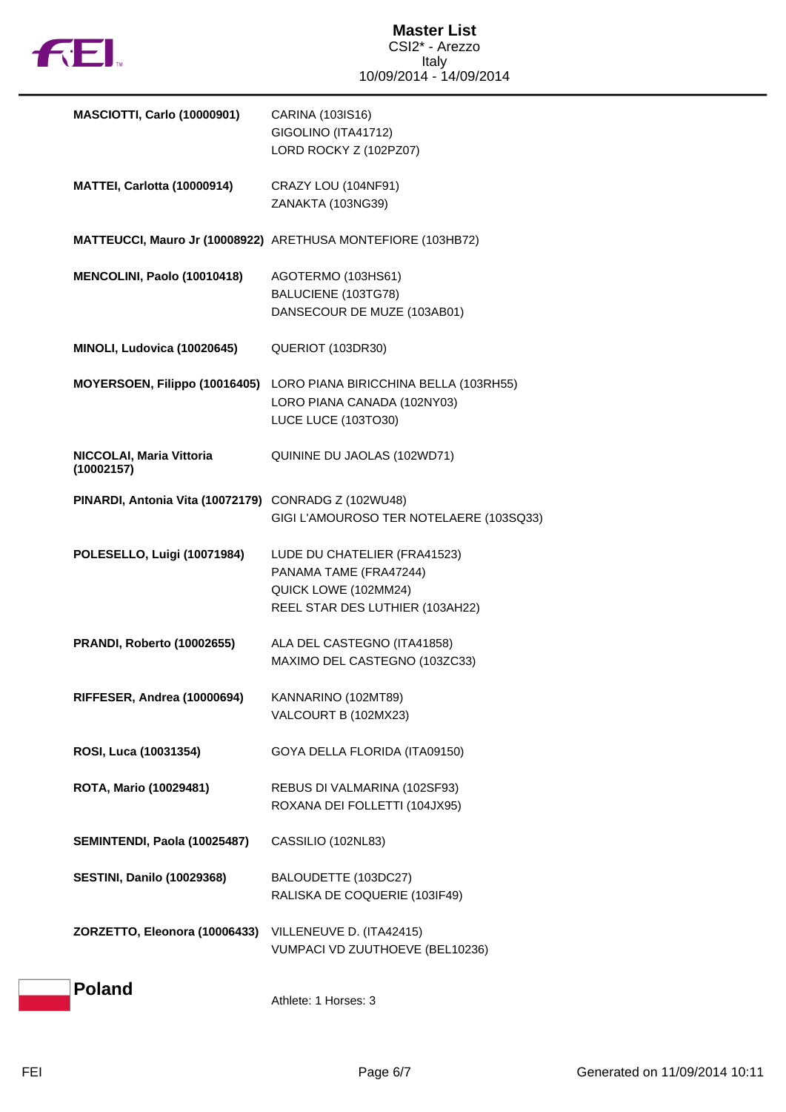

| <b>MASCIOTTI, Carlo (10000901)</b>                   | CARINA (103IS16)<br>GIGOLINO (ITA41712)<br>LORD ROCKY Z (102PZ07)                                                 |
|------------------------------------------------------|-------------------------------------------------------------------------------------------------------------------|
| MATTEI, Carlotta (10000914)                          | CRAZY LOU (104NF91)<br>ZANAKTA (103NG39)                                                                          |
|                                                      | MATTEUCCI, Mauro Jr (10008922) ARETHUSA MONTEFIORE (103HB72)                                                      |
| MENCOLINI, Paolo (10010418)                          | AGOTERMO (103HS61)<br>BALUCIENE (103TG78)<br>DANSECOUR DE MUZE (103AB01)                                          |
| MINOLI, Ludovica (10020645)                          | QUERIOT (103DR30)                                                                                                 |
| MOYERSOEN, Filippo (10016405)                        | LORO PIANA BIRICCHINA BELLA (103RH55)<br>LORO PIANA CANADA (102NY03)<br>LUCE LUCE (103TO30)                       |
| NICCOLAI, Maria Vittoria<br>(10002157)               | QUININE DU JAOLAS (102WD71)                                                                                       |
| PINARDI, Antonia Vita (10072179) CONRADG Z (102WU48) | GIGI L'AMOUROSO TER NOTELAERE (103SQ33)                                                                           |
| POLESELLO, Luigi (10071984)                          | LUDE DU CHATELIER (FRA41523)<br>PANAMA TAME (FRA47244)<br>QUICK LOWE (102MM24)<br>REEL STAR DES LUTHIER (103AH22) |
| <b>PRANDI, Roberto (10002655)</b>                    | ALA DEL CASTEGNO (ITA41858)<br>MAXIMO DEL CASTEGNO (103ZC33)                                                      |
| RIFFESER, Andrea (10000694)                          | KANNARINO (102MT89)<br>VALCOURT B (102MX23)                                                                       |
| ROSI, Luca (10031354)                                | GOYA DELLA FLORIDA (ITA09150)                                                                                     |
| ROTA, Mario (10029481)                               | REBUS DI VALMARINA (102SF93)<br>ROXANA DEI FOLLETTI (104JX95)                                                     |
| SEMINTENDI, Paola (10025487)                         | CASSILIO (102NL83)                                                                                                |
| <b>SESTINI, Danilo (10029368)</b>                    | BALOUDETTE (103DC27)<br>RALISKA DE COQUERIE (103IF49)                                                             |
| ZORZETTO, Eleonora (10006433)                        | VILLENEUVE D. (ITA42415)<br>VUMPACI VD ZUUTHOEVE (BEL10236)                                                       |
| <b>Poland</b>                                        | Athlete: 1 Horses: 3                                                                                              |